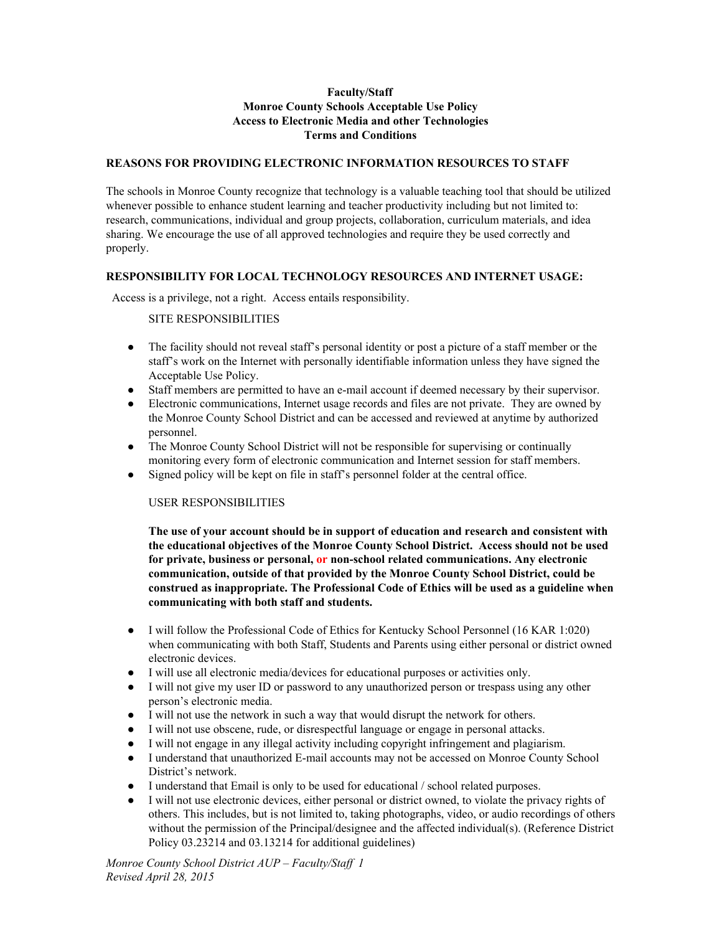## **Faculty/Staff Monroe County Schools Acceptable Use Policy Access to Electronic Media and other Technologies Terms and Conditions**

#### **REASONS FOR PROVIDING ELECTRONIC INFORMATION RESOURCES TO STAFF**

The schools in Monroe County recognize that technology is a valuable teaching tool that should be utilized whenever possible to enhance student learning and teacher productivity including but not limited to: research, communications, individual and group projects, collaboration, curriculum materials, and idea sharing. We encourage the use of all approved technologies and require they be used correctly and properly.

#### **RESPONSIBILITY FOR LOCAL TECHNOLOGY RESOURCES AND INTERNET USAGE:**

Access is a privilege, not a right. Access entails responsibility.

### SITE RESPONSIBILITIES

- The facility should not reveal staff's personal identity or post a picture of a staff member or the staff's work on the Internet with personally identifiable information unless they have signed the Acceptable Use Policy.
- Staff members are permitted to have an e-mail account if deemed necessary by their supervisor.
- Electronic communications, Internet usage records and files are not private. They are owned by the Monroe County School District and can be accessed and reviewed at anytime by authorized personnel.
- The Monroe County School District will not be responsible for supervising or continually monitoring every form of electronic communication and Internet session for staff members.
- Signed policy will be kept on file in staff's personnel folder at the central office.

#### USER RESPONSIBILITIES

**The use of your account should be in support of education and research and consistent with the educational objectives of the Monroe County School District. Access should not be used for private, business or personal, or nonschool related communications. Any electronic communication, outside of that provided by the Monroe County School District, could be construed as inappropriate. The Professional Code of Ethics will be used as a guideline when communicating with both staff and students.**

- I will follow the Professional Code of Ethics for Kentucky School Personnel (16 KAR 1:020) when communicating with both Staff, Students and Parents using either personal or district owned electronic devices.
- I will use all electronic media/devices for educational purposes or activities only.
- I will not give my user ID or password to any unauthorized person or trespass using any other person's electronic media.
- I will not use the network in such a way that would disrupt the network for others.
- I will not use obscene, rude, or disrespectful language or engage in personal attacks.
- I will not engage in any illegal activity including copyright infringement and plagiarism.
- I understand that unauthorized E-mail accounts may not be accessed on Monroe County School District's network.
- I understand that Email is only to be used for educational / school related purposes.
- I will not use electronic devices, either personal or district owned, to violate the privacy rights of others. This includes, but is not limited to, taking photographs, video, or audio recordings of others without the permission of the Principal/designee and the affected individual(s). (Reference District Policy 03.23214 and 03.13214 for additional guidelines)

*Monroe County School District AUP – Faculty/Staf 1 Revised April 28, 2015*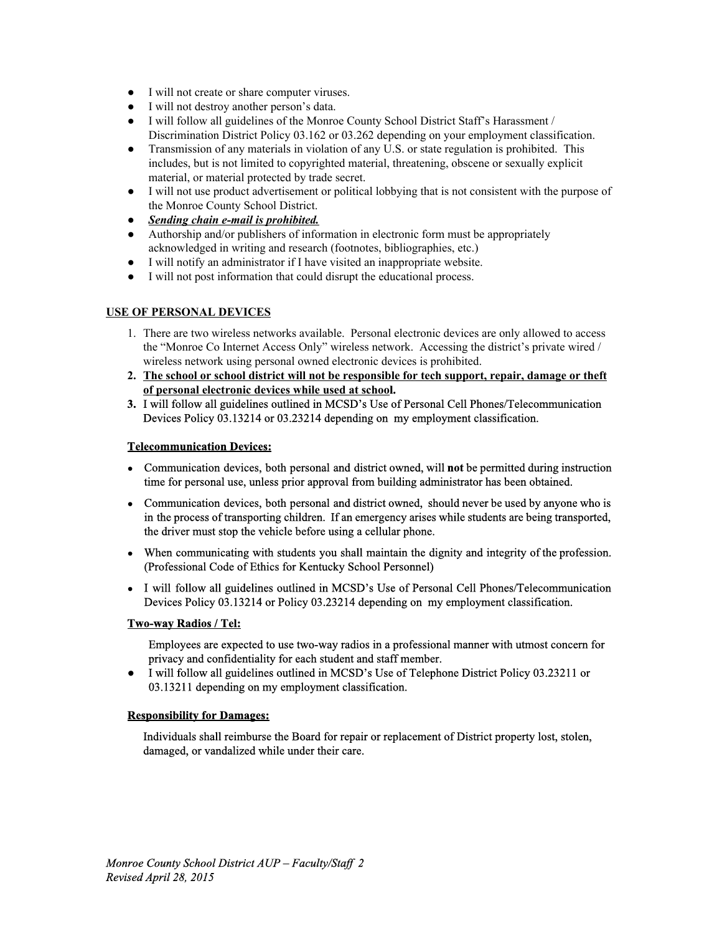- I will not create or share computer viruses.
- I will not destroy another person's data.
- I will follow all guidelines of the Monroe County School District Staff's Harassment / Discrimination District Policy 03.162 or 03.262 depending on your employment classification.
- Transmission of any materials in violation of any U.S. or state regulation is prohibited. This includes, but is not limited to copyrighted material, threatening, obscene or sexually explicit material, or material protected by trade secret.
- I will not use product advertisement or political lobbying that is not consistent with the purpose of the Monroe County School District.
- *● Sending chain email is prohibited.*
- Authorship and/or publishers of information in electronic form must be appropriately acknowledged in writing and research (footnotes, bibliographies, etc.)
- I will notify an administrator if I have visited an inappropriate website.
- I will not post information that could disrupt the educational process.

## **USE OF PERSONAL DEVICES**

- 1. There are two wireless networks available. Personal electronic devices are only allowed to access the "Monroe Co Internet Access Only" wireless network. Accessing the district's private wired / wireless network using personal owned electronic devices is prohibited.
- **2. The school or school district will not be responsible for tech support, repair, damage or theft of personal electronic devices while used at school.**
- **3.** I will follow all guidelines outlined in MCSD's Use of Personal Cell Phones/Telecommunication Devices Policy 03.13214 or 03.23214 depending on my employment classification.

## **Telecommunication Devices:**

- **●** Communication devices, both personal and district owned, will **not** be permitted during instruction time for personal use, unless prior approval from building administrator has been obtained.
- **●** Communication devices, both personal and district owned, should never be used by anyone who is in the process of transporting children. If an emergency arises while students are being transported, the driver must stop the vehicle before using a cellular phone.
- **●** When communicating with students you shall maintain the dignity and integrity of the profession. (Professional Code of Ethics for Kentucky School Personnel)
- **●** I will follow all guidelines outlined in MCSD's Use of Personal Cell Phones/Telecommunication Devices Policy 03.13214 or Policy 03.23214 depending on my employment classification.

### **Two-way Radios / Tel:**

Employees are expected to use twoway radios in a professional manner with utmost concern for privacy and confidentiality for each student and staff member.

● I will follow all guidelines outlined in MCSD's Use of Telephone District Policy 03.23211 or 03.13211 depending on my employment classification.

### **Responsibility for Damages:**

Individuals shall reimburse the Board for repair or replacement of District property lost, stolen, damaged, or vandalized while under their care.